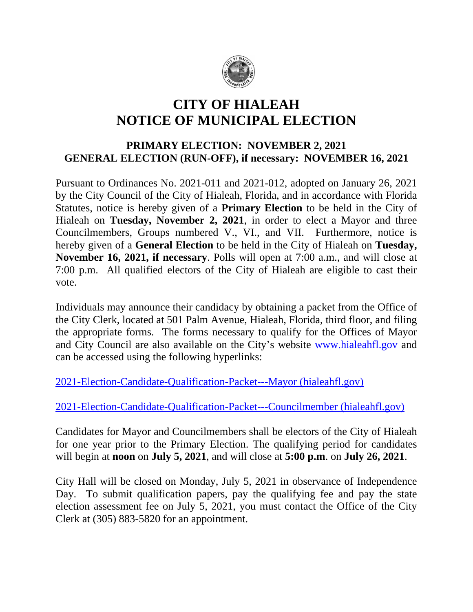

## **CITY OF HIALEAH NOTICE OF MUNICIPAL ELECTION**

## **PRIMARY ELECTION: NOVEMBER 2, 2021 GENERAL ELECTION (RUN-OFF), if necessary: NOVEMBER 16, 2021**

Pursuant to Ordinances No. 2021-011 and 2021-012, adopted on January 26, 2021 by the City Council of the City of Hialeah, Florida, and in accordance with Florida Statutes, notice is hereby given of a **Primary Election** to be held in the City of Hialeah on **Tuesday, November 2, 2021**, in order to elect a Mayor and three Councilmembers, Groups numbered V., VI., and VII. Furthermore, notice is hereby given of a **General Election** to be held in the City of Hialeah on **Tuesday, November 16, 2021, if necessary**. Polls will open at 7:00 a.m., and will close at 7:00 p.m. All qualified electors of the City of Hialeah are eligible to cast their vote.

Individuals may announce their candidacy by obtaining a packet from the Office of the City Clerk, located at 501 Palm Avenue, Hialeah, Florida, third floor, and filing the appropriate forms. The forms necessary to qualify for the Offices of Mayor and City Council are also available on the City's website [www.hialeahfl.gov](http://www.hialeahfl.gov) and can be accessed using the following hyperlinks:

[2021-Election-Candidate-Qualification-Packet---Mayor \(hialeahfl.gov\)](http://www.hialeahfl.gov/DocumentCenter/View/12838/2021-Election-Candidate-Qualification-Packet---Mayor)

[2021-Election-Candidate-Qualification-Packet---Councilmember \(hialeahfl.gov\)](http://www.hialeahfl.gov/DocumentCenter/View/12837/2021-Election-Candidate-Qualification-Packet---Councilmember)

Candidates for Mayor and Councilmembers shall be electors of the City of Hialeah for one year prior to the Primary Election. The qualifying period for candidates will begin at **noon** on **July 5, 2021**, and will close at **5:00 p.m**. on **July 26, 2021**.

City Hall will be closed on Monday, July 5, 2021 in observance of Independence Day. To submit qualification papers, pay the qualifying fee and pay the state election assessment fee on July 5, 2021, you must contact the Office of the City Clerk at (305) 883-5820 for an appointment.